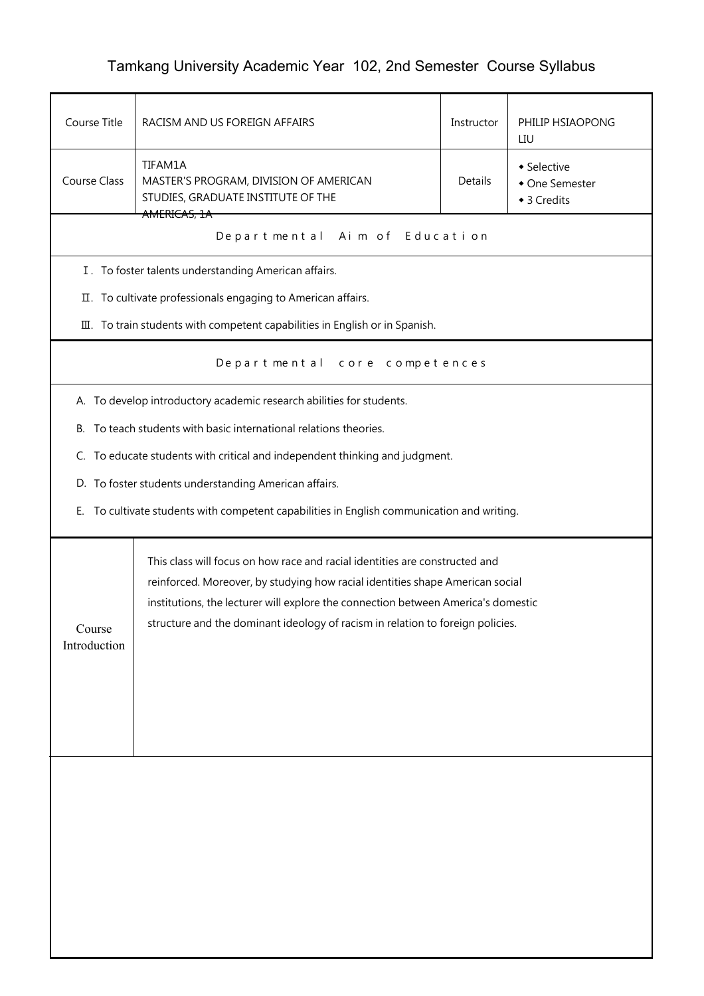## Tamkang University Academic Year 102, 2nd Semester Course Syllabus

| Course Title                                                                                                                                                                                                                                                                                                                                                  | RACISM AND US FOREIGN AFFAIRS                                                           | Instructor | PHILIP HSIAOPONG<br>LIU                      |  |  |
|---------------------------------------------------------------------------------------------------------------------------------------------------------------------------------------------------------------------------------------------------------------------------------------------------------------------------------------------------------------|-----------------------------------------------------------------------------------------|------------|----------------------------------------------|--|--|
| <b>Course Class</b>                                                                                                                                                                                                                                                                                                                                           | TIFAM1A<br>MASTER'S PROGRAM, DIVISION OF AMERICAN<br>STUDIES, GRADUATE INSTITUTE OF THE | Details    | • Selective<br>• One Semester<br>◆ 3 Credits |  |  |
|                                                                                                                                                                                                                                                                                                                                                               | AMERICAS, 1A<br>Departmental Aim of Education                                           |            |                                              |  |  |
|                                                                                                                                                                                                                                                                                                                                                               | I. To foster talents understanding American affairs.                                    |            |                                              |  |  |
| П.                                                                                                                                                                                                                                                                                                                                                            | To cultivate professionals engaging to American affairs.                                |            |                                              |  |  |
|                                                                                                                                                                                                                                                                                                                                                               | III. To train students with competent capabilities in English or in Spanish.            |            |                                              |  |  |
| Departmental core competences                                                                                                                                                                                                                                                                                                                                 |                                                                                         |            |                                              |  |  |
|                                                                                                                                                                                                                                                                                                                                                               | A. To develop introductory academic research abilities for students.                    |            |                                              |  |  |
|                                                                                                                                                                                                                                                                                                                                                               | B. To teach students with basic international relations theories.                       |            |                                              |  |  |
|                                                                                                                                                                                                                                                                                                                                                               | C. To educate students with critical and independent thinking and judgment.             |            |                                              |  |  |
|                                                                                                                                                                                                                                                                                                                                                               | D. To foster students understanding American affairs.                                   |            |                                              |  |  |
| Е.                                                                                                                                                                                                                                                                                                                                                            | To cultivate students with competent capabilities in English communication and writing. |            |                                              |  |  |
| This class will focus on how race and racial identities are constructed and<br>reinforced. Moreover, by studying how racial identities shape American social<br>institutions, the lecturer will explore the connection between America's domestic<br>structure and the dominant ideology of racism in relation to foreign policies.<br>Course<br>Introduction |                                                                                         |            |                                              |  |  |
|                                                                                                                                                                                                                                                                                                                                                               |                                                                                         |            |                                              |  |  |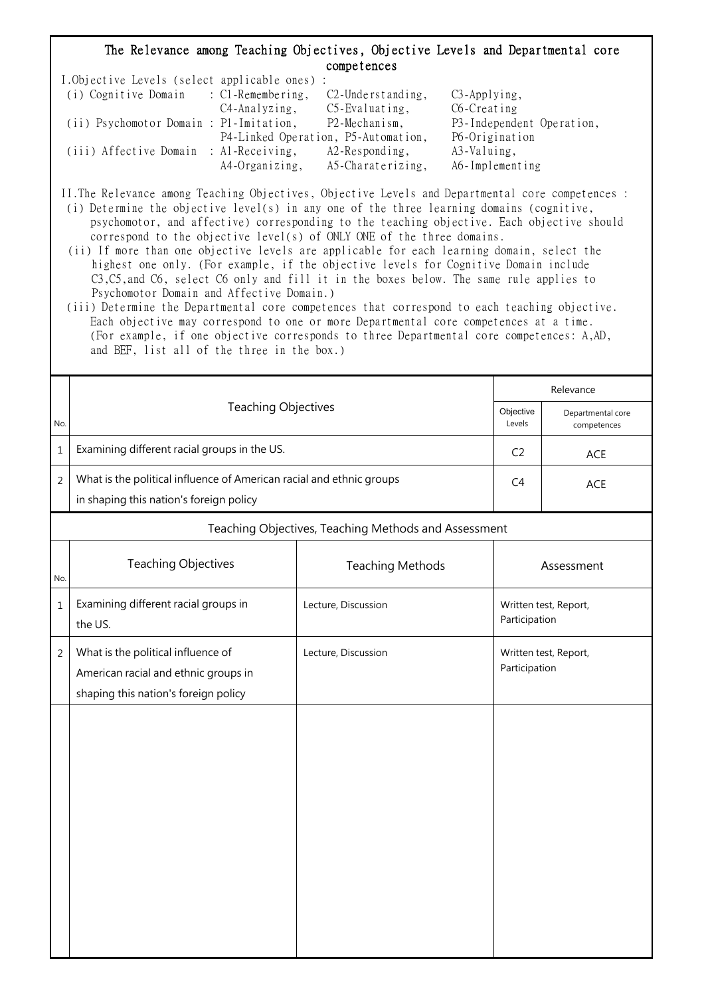## The Relevance among Teaching Objectives, Objective Levels and Departmental core competences

| I.Objective Levels (select applicable ones) : |                |                                     |                           |
|-----------------------------------------------|----------------|-------------------------------------|---------------------------|
| (i) Cognitive Domain : C1-Remembering,        |                | $C2$ -Understanding,                | $C3$ -Applying,           |
|                                               | C4-Analyzing,  | $C5$ -Evaluating,                   | C6-Creating               |
| (ii) Psychomotor Domain : P1-Imitation,       |                | P2-Mechanism,                       | P3-Independent Operation, |
|                                               |                | P4-Linked Operation, P5-Automation, | P6-Origination            |
| (iii) Affective Domain : Al-Receiving,        |                | $A2$ -Responding,                   | A3-Valuing,               |
|                                               | A4-Organizing, | A5-Charaterizing,                   | A6-Implementing           |

II.The Relevance among Teaching Objectives, Objective Levels and Departmental core competences :

- (i) Determine the objective level(s) in any one of the three learning domains (cognitive, psychomotor, and affective) corresponding to the teaching objective. Each objective should correspond to the objective level(s) of ONLY ONE of the three domains.
- (ii) If more than one objective levels are applicable for each learning domain, select the highest one only. (For example, if the objective levels for Cognitive Domain include C3,C5,and C6, select C6 only and fill it in the boxes below. The same rule applies to Psychomotor Domain and Affective Domain.)
- (iii) Determine the Departmental core competences that correspond to each teaching objective. Each objective may correspond to one or more Departmental core competences at a time. (For example, if one objective corresponds to three Departmental core competences: A,AD, and BEF, list all of the three in the box.)

|                |                                                                                                                    | Relevance               |                                        |                       |  |
|----------------|--------------------------------------------------------------------------------------------------------------------|-------------------------|----------------------------------------|-----------------------|--|
| No.            | <b>Teaching Objectives</b>                                                                                         | Objective<br>Levels     | Departmental core<br>competences       |                       |  |
| $\mathbf{1}$   | Examining different racial groups in the US.                                                                       | C <sub>2</sub>          | ACE                                    |                       |  |
| 2              | What is the political influence of American racial and ethnic groups<br>in shaping this nation's foreign policy    | C4                      | ACE                                    |                       |  |
|                | Teaching Objectives, Teaching Methods and Assessment                                                               |                         |                                        |                       |  |
| No.            | <b>Teaching Objectives</b>                                                                                         | <b>Teaching Methods</b> | Assessment                             |                       |  |
| $\mathbf 1$    | Examining different racial groups in<br>the US.                                                                    | Lecture, Discussion     | Written test, Report,<br>Participation |                       |  |
| $\overline{2}$ | What is the political influence of<br>American racial and ethnic groups in<br>shaping this nation's foreign policy | Lecture, Discussion     | Participation                          | Written test, Report, |  |
|                |                                                                                                                    |                         |                                        |                       |  |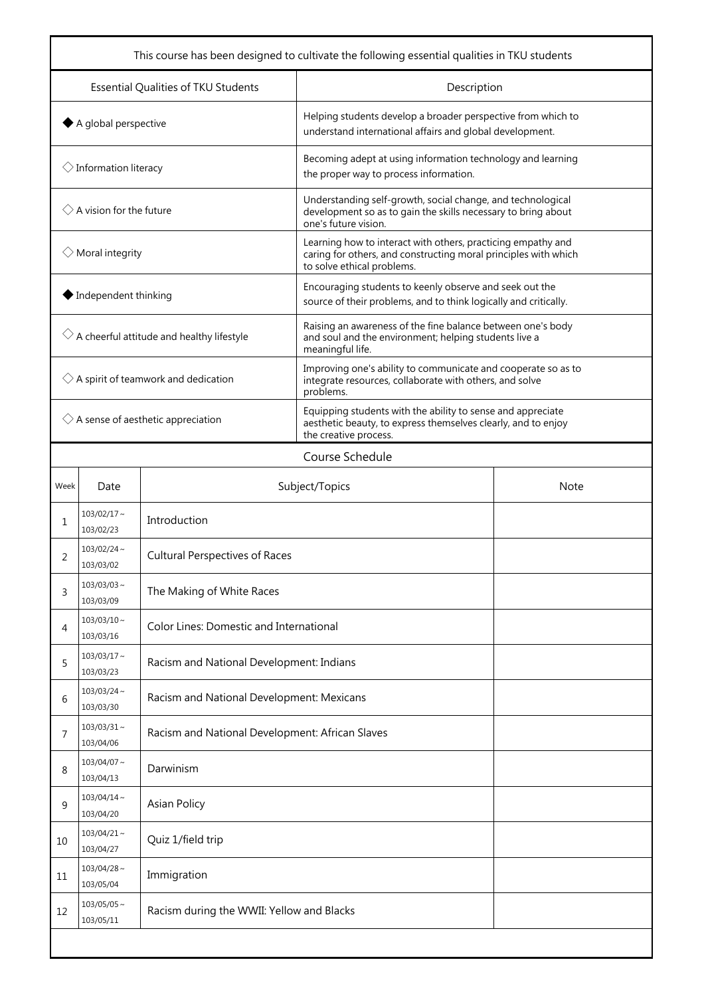| This course has been designed to cultivate the following essential qualities in TKU students |                               |                                                 |                                                                                                                                                               |  |  |  |
|----------------------------------------------------------------------------------------------|-------------------------------|-------------------------------------------------|---------------------------------------------------------------------------------------------------------------------------------------------------------------|--|--|--|
| Essential Qualities of TKU Students                                                          |                               |                                                 | Description                                                                                                                                                   |  |  |  |
| $\blacklozenge$ A global perspective                                                         |                               |                                                 | Helping students develop a broader perspective from which to<br>understand international affairs and global development.                                      |  |  |  |
| $\Diamond$ Information literacy                                                              |                               |                                                 | Becoming adept at using information technology and learning<br>the proper way to process information.                                                         |  |  |  |
| $\Diamond$ A vision for the future                                                           |                               |                                                 | Understanding self-growth, social change, and technological<br>development so as to gain the skills necessary to bring about<br>one's future vision.          |  |  |  |
| $\Diamond$ Moral integrity                                                                   |                               |                                                 | Learning how to interact with others, practicing empathy and<br>caring for others, and constructing moral principles with which<br>to solve ethical problems. |  |  |  |
| ◆ Independent thinking                                                                       |                               |                                                 | Encouraging students to keenly observe and seek out the<br>source of their problems, and to think logically and critically.                                   |  |  |  |
| $\Diamond$ A cheerful attitude and healthy lifestyle                                         |                               |                                                 | Raising an awareness of the fine balance between one's body<br>and soul and the environment; helping students live a<br>meaningful life.                      |  |  |  |
| $\Diamond$ A spirit of teamwork and dedication                                               |                               |                                                 | Improving one's ability to communicate and cooperate so as to<br>integrate resources, collaborate with others, and solve<br>problems.                         |  |  |  |
| $\Diamond$ A sense of aesthetic appreciation                                                 |                               |                                                 | Equipping students with the ability to sense and appreciate<br>aesthetic beauty, to express themselves clearly, and to enjoy<br>the creative process.         |  |  |  |
|                                                                                              | Course Schedule               |                                                 |                                                                                                                                                               |  |  |  |
| Week                                                                                         | Date                          | Subject/Topics<br><b>Note</b>                   |                                                                                                                                                               |  |  |  |
| 1                                                                                            | $103/02/17$ ~<br>103/02/23    | Introduction                                    |                                                                                                                                                               |  |  |  |
| 2                                                                                            | $103/02/24$ ~<br>103/03/02    | <b>Cultural Perspectives of Races</b>           |                                                                                                                                                               |  |  |  |
| 3                                                                                            | $103/03/03 \sim$<br>103/03/09 | The Making of White Races                       |                                                                                                                                                               |  |  |  |
| 4                                                                                            | $103/03/10 \sim$<br>103/03/16 | Color Lines: Domestic and International         |                                                                                                                                                               |  |  |  |
| 5                                                                                            | $103/03/17$ ~<br>103/03/23    | Racism and National Development: Indians        |                                                                                                                                                               |  |  |  |
| 6                                                                                            | $103/03/24$ ~<br>103/03/30    | Racism and National Development: Mexicans       |                                                                                                                                                               |  |  |  |
| 7                                                                                            | $103/03/31$ ~<br>103/04/06    | Racism and National Development: African Slaves |                                                                                                                                                               |  |  |  |
| 8                                                                                            | 103/04/07~<br>103/04/13       | Darwinism                                       |                                                                                                                                                               |  |  |  |
| 9                                                                                            | $103/04/14$ ~<br>103/04/20    | <b>Asian Policy</b>                             |                                                                                                                                                               |  |  |  |
| 10                                                                                           | $103/04/21$ ~<br>103/04/27    | Quiz 1/field trip                               |                                                                                                                                                               |  |  |  |
| 11                                                                                           | $103/04/28$ ~<br>103/05/04    | Immigration                                     |                                                                                                                                                               |  |  |  |
| 12                                                                                           | $103/05/05 \sim$<br>103/05/11 | Racism during the WWII: Yellow and Blacks       |                                                                                                                                                               |  |  |  |
|                                                                                              |                               |                                                 |                                                                                                                                                               |  |  |  |